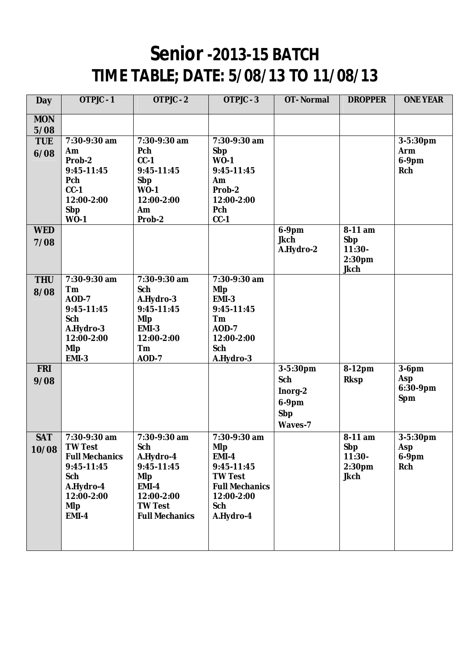## **Senior -2013-15 BATCH TIME TABLE; DATE: 5/08/13 TO 11/08/13**

| <b>Day</b>          | OTPJC-1                                                                                                                               | OTPJC - 2                                                                                                                             | OTPJC - 3                                                                                                                             | <b>OT-Normal</b>                                      | <b>DROPPER</b>                                                  | <b>ONE YEAR</b>                    |
|---------------------|---------------------------------------------------------------------------------------------------------------------------------------|---------------------------------------------------------------------------------------------------------------------------------------|---------------------------------------------------------------------------------------------------------------------------------------|-------------------------------------------------------|-----------------------------------------------------------------|------------------------------------|
| <b>MON</b><br>5/08  |                                                                                                                                       |                                                                                                                                       |                                                                                                                                       |                                                       |                                                                 |                                    |
| <b>TUE</b><br>6/08  | 7:30-9:30 am<br><b>Am</b><br>Prob-2<br>9:45-11:45<br>Pch<br>$CC-1$<br>12:00-2:00<br>Sbp<br>$WO-1$                                     | 7:30-9:30 am<br>Pch<br>$CC-1$<br>9:45-11:45<br>Sbp<br>$WO-1$<br>12:00-2:00<br>Am<br>Prob-2                                            | 7:30-9:30 am<br>Sbp<br>$WO-1$<br>9:45-11:45<br>Am<br>Prob-2<br>12:00-2:00<br>Pch<br>$CC-1$                                            |                                                       |                                                                 | 3-5:30pm<br>Arm<br>6-9pm<br>Rch    |
| <b>WED</b><br>7/08  |                                                                                                                                       |                                                                                                                                       |                                                                                                                                       | 6-9pm<br><b>Jkch</b><br>A.Hydro-2                     | 8-11 am<br>Sbp<br>$11:30-$<br>2:30pm<br><b>Jkch</b>             |                                    |
| <b>THU</b><br>8/08  | 7:30-9:30 am<br>Tm<br><b>AOD-7</b><br>9:45-11:45<br>Sch<br>A.Hydro-3<br>12:00-2:00<br><b>MIp</b><br><b>EMI-3</b>                      | 7:30-9:30 am<br>Sch<br>A.Hydro-3<br>9:45-11:45<br><b>MIp</b><br>EMI-3<br>12:00-2:00<br>Tm<br><b>AOD-7</b>                             | 7:30-9:30 am<br><b>MIp</b><br><b>EMI-3</b><br>9:45-11:45<br>Tm<br><b>AOD-7</b><br>12:00-2:00<br>Sch<br>A.Hydro-3                      |                                                       |                                                                 |                                    |
| <b>FRI</b><br>9/08  |                                                                                                                                       |                                                                                                                                       |                                                                                                                                       | 3-5:30pm<br>Sch<br>Inorg-2<br>6-9pm<br>Sbp<br>Waves-7 | 8-12pm<br><b>Rksp</b>                                           | $3-6$ pm<br>Asp<br>6:30-9pm<br>Spm |
| <b>SAT</b><br>10/08 | 7:30-9:30 am<br><b>TW Test</b><br><b>Full Mechanics</b><br>9:45-11:45<br>Sch<br>A.Hydro-4<br>12:00-2:00<br><b>MIp</b><br><b>EMI-4</b> | 7:30-9:30 am<br>Sch<br>A.Hydro-4<br>9:45-11:45<br><b>MIp</b><br><b>EMI-4</b><br>12:00-2:00<br><b>TW Test</b><br><b>Full Mechanics</b> | 7:30-9:30 am<br><b>MIp</b><br><b>EMI-4</b><br>9:45-11:45<br><b>TW Test</b><br><b>Full Mechanics</b><br>12:00-2:00<br>Sch<br>A.Hydro-4 |                                                       | 8-11 am<br>Sbp<br>$11:30-$<br>2:30 <sub>pm</sub><br><b>Jkch</b> | 3-5:30pm<br>Asp<br>6-9pm<br>Rch    |